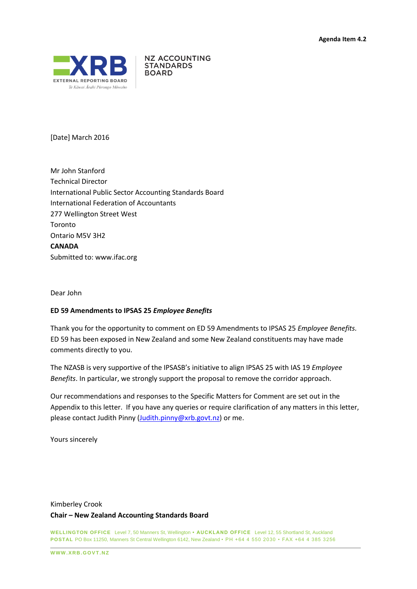

**NZ ACCOUNTING STANDARDS BOARD** 

[Date] March 2016

Mr John Stanford Technical Director International Public Sector Accounting Standards Board International Federation of Accountants 277 Wellington Street West Toronto Ontario M5V 3H2 **CANADA** Submitted to: [www.ifac.org](http://www.ifac.org/)

Dear John

### **ED 59 Amendments to IPSAS 25** *Employee Benefits*

Thank you for the opportunity to comment on ED 59 Amendments to IPSAS 25 *Employee Benefits.* ED 59 has been exposed in New Zealand and some New Zealand constituents may have made comments directly to you.

The NZASB is very supportive of the IPSASB's initiative to align IPSAS 25 with IAS 19 *Employee Benefits*. In particular, we strongly support the proposal to remove the corridor approach.

Our recommendations and responses to the Specific Matters for Comment are set out in the Appendix to this letter. If you have any queries or require clarification of any matters in this letter, please contact Judith Pinny [\(Judith.pinny@xrb.govt.nz\)](mailto:Judith.pinny@xrb.govt.nz) or me.

Yours sincerely

# Kimberley Crook **Chair – New Zealand Accounting Standards Board**

**WELLINGTON OFFICE** Level 7, 50 Manners St, Wellington **• AUCKLAND OFFICE** Level 12, 55 Shortland St, Auckland **POSTAL** PO Box 11250, Manners St Central Wellington 6142, New Zealand • PH +64 4 550 2030 • FAX +64 4 385 3256